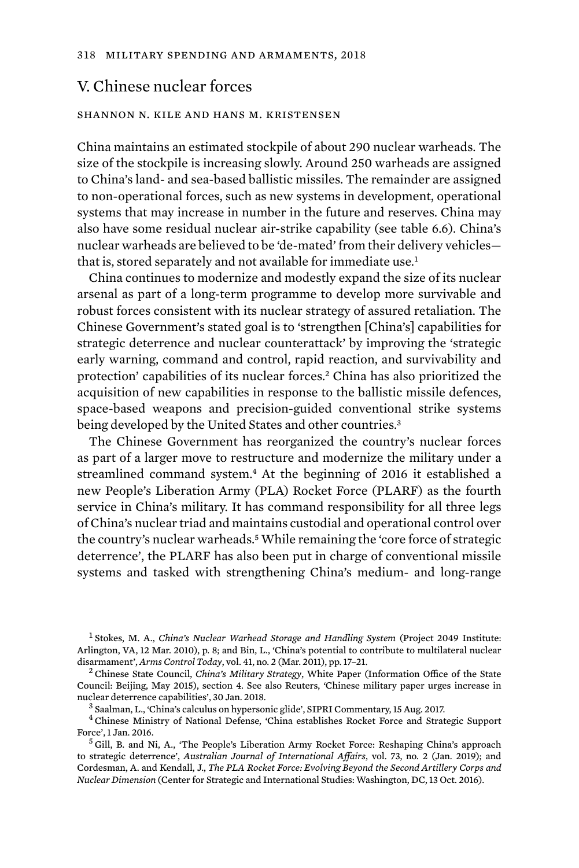# V. Chinese nuclear forces

#### shannon n. kile and hans m. kristensen

China maintains an estimated stockpile of about 290 nuclear warheads. The size of the stockpile is increasing slowly. Around 250 warheads are assigned to China's land- and sea-based ballistic missiles. The remainder are assigned to non-operational forces, such as new systems in development, operational systems that may increase in number in the future and reserves. China may also have some residual nuclear air-strike capability (see table 6.6). China's nuclear warheads are believed to be 'de-mated' from their delivery vehicles that is, stored separately and not available for immediate use.<sup>1</sup>

China continues to modernize and modestly expand the size of its nuclear arsenal as part of a long-term programme to develop more survivable and robust forces consistent with its nuclear strategy of assured retaliation. The Chinese Government's stated goal is to 'strengthen [China's] capabilities for strategic deterrence and nuclear counterattack' by improving the 'strategic early warning, command and control, rapid reaction, and survivability and protection' capabilities of its nuclear forces.2 China has also prioritized the acquisition of new capabilities in response to the ballistic missile defences, space-based weapons and precision-guided conventional strike systems being developed by the United States and other countries.<sup>3</sup>

The Chinese Government has reorganized the country's nuclear forces as part of a larger move to restructure and modernize the military under a streamlined command system.<sup>4</sup> At the beginning of 2016 it established a new People's Liberation Army (PLA) Rocket Force (PLARF) as the fourth service in China's military. It has command responsibility for all three legs of China's nuclear triad and maintains custodial and operational control over the country's nuclear warheads.<sup>5</sup> While remaining the 'core force of strategic deterrence', the PLARF has also been put in charge of conventional missile systems and tasked with strengthening China's medium- and long-range

<sup>1</sup> Stokes, M. A., *China's Nuclear Warhead Storage and Handling System* (Project 2049 Institute: Arlington, VA, 12 Mar. 2010), p. 8; and Bin, L., 'China's potential to contribute to multilateral nuclear<br>disarmament', Arms Control Today, vol. 41, no. 2 (Mar. 2011), pp. 17–21.

<sup>&</sup>lt;sup>2</sup> Chinese State Council, *China's Military Strategy*, White Paper (Information Office of the State Council: Beijing, May 2015), section 4. See also Reuters, 'Chinese military paper urges increase in nuclear deterrence capabilities', 30 Jan. 2018.<br><sup>3</sup> Saalman, L., 'China's calculus on hypersonic glide', SIPRI Commentary, 15 Aug. 2017.<br><sup>4</sup> Chinese Ministry of National Defense, 'China establishes Rocket Force and Strateg

Force', 1 Jan. 2016.<br><sup>5</sup> Gill, B. and Ni, A., 'The People's Liberation Army Rocket Force: Reshaping China's approach

to strategic deterrence', *Australian Journal of International Affairs*, vol. 73, no. 2 (Jan. 2019); and Cordesman, A. and Kendall, J., *The PLA Rocket Force: Evolving Beyond the Second Artillery Corps and Nuclear Dimension* (Center for Strategic and International Studies: Washington, DC, 13 Oct. 2016).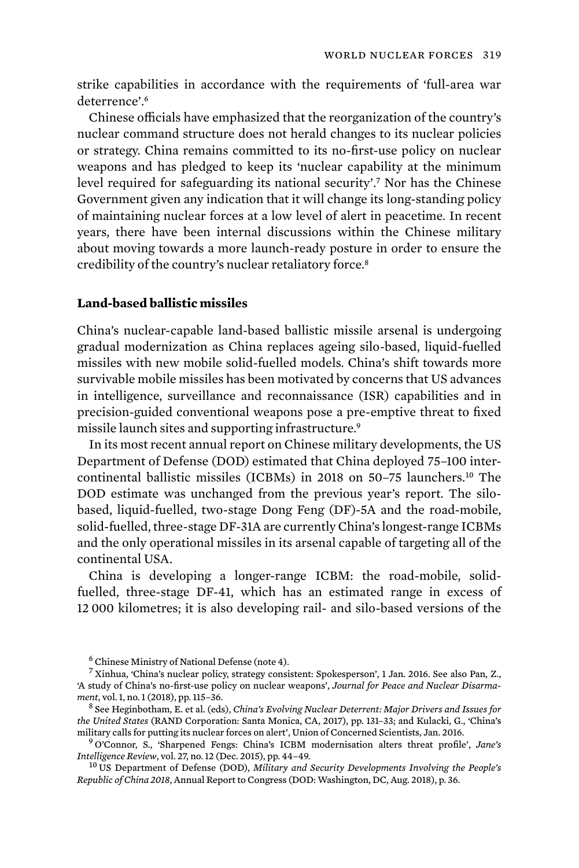strike capabilities in accordance with the requirements of 'full-area war deterrence'.<sup>6</sup>

Chinese officials have emphasized that the reorganization of the country's nuclear command structure does not herald changes to its nuclear policies or strategy. China remains committed to its no-first-use policy on nuclear weapons and has pledged to keep its 'nuclear capability at the minimum level required for safeguarding its national security'.7 Nor has the Chinese Government given any indication that it will change its long-standing policy of maintaining nuclear forces at a low level of alert in peacetime. In recent years, there have been internal discussions within the Chinese military about moving towards a more launch-ready posture in order to ensure the credibility of the country's nuclear retaliatory force.<sup>8</sup>

### **Land-based ballistic missiles**

China's nuclear-capable land-based ballistic missile arsenal is undergoing gradual modernization as China replaces ageing silo-based, liquid-fuelled missiles with new mobile solid-fuelled models. China's shift towards more survivable mobile missiles has been motivated by concerns that US advances in intelligence, surveillance and reconnaissance (ISR) capabilities and in precision-guided conventional weapons pose a pre-emptive threat to fixed missile launch sites and supporting infrastructure.<sup>9</sup>

In its most recent annual report on Chinese military developments, the US Department of Defense (DOD) estimated that China deployed 75–100 intercontinental ballistic missiles (ICBMs) in 2018 on 50–75 launchers.10 The DOD estimate was unchanged from the previous year's report. The silobased, liquid-fuelled, two-stage Dong Feng (DF)-5A and the road-mobile, solid-fuelled, three-stage DF-31A are currently China's longest-range ICBMs and the only operational missiles in its arsenal capable of targeting all of the continental USA.

China is developing a longer-range ICBM: the road-mobile, solidfuelled, three-stage DF-41, which has an estimated range in excess of 12 000 kilometres; it is also developing rail- and silo-based versions of the

<sup>6</sup> Chinese Ministry of National Defense (note 4).

<sup>7</sup> Xinhua, 'China's nuclear policy, strategy consistent: Spokesperson', 1 Jan. 2016. See also Pan, Z., 'A study of China's no-first-use policy on nuclear weapons', *Journal for Peace and Nuclear Disarmament*, vol. 1, no. 1 (2018), pp. 115–36. <sup>8</sup> See Heginbotham, E. et al. (eds), *China's Evolving Nuclear Deterrent: Major Drivers and Issues for* 

*the United States* (RAND Corporation: Santa Monica, CA, 2017), pp. 131–33; and Kulacki, G., 'China's

<sup>&</sup>lt;sup>9</sup> O'Connor, S., 'Sharpened Fengs: China's ICBM modernisation alters threat profile', *Jane's Intelligence Review*, vol. 27, no. 12 (Dec. 2015), pp. 44–49.

<sup>&</sup>lt;sup>10</sup> US Department of Defense (DOD), *Military and Security Developments Involving the People's Republic of China 2018*, Annual Report to Congress (DOD: Washington, DC, Aug. 2018), p. 36.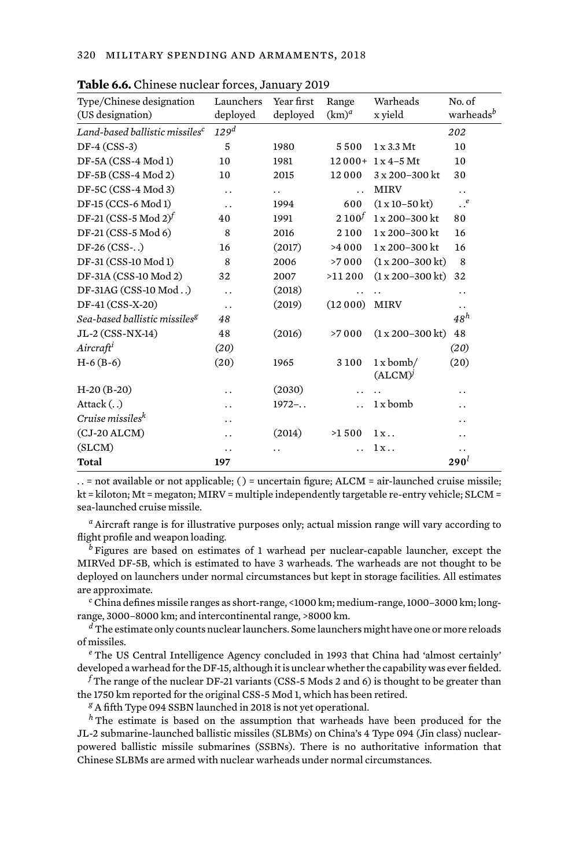| Type/Chinese designation                   | Launchers            | Year first           | Range                | Warheads                        | No. of                |
|--------------------------------------------|----------------------|----------------------|----------------------|---------------------------------|-----------------------|
| (US designation)                           | deployed             | deployed             | $(km)^d$             | x yield                         | warheads <sup>b</sup> |
| Land-based ballistic missiles <sup>c</sup> | 129 <sup>d</sup>     |                      |                      |                                 | 202                   |
| $DF-4 (CSS-3)$                             | 5                    | 1980                 | 5500                 | $1 \times 3.3$ Mt               | 10                    |
| DF-5A (CSS-4 Mod 1)                        | 10                   | 1981                 |                      | $12000 + 1x4 - 5$ Mt            | 10                    |
| $DF-5B(CSS-4 Mod2)$                        | 10                   | 2015                 | 12000                | 3 x 200-300 kt                  | 30                    |
| DF-5C (CSS-4 Mod 3)                        | . .                  | $\ddot{\phantom{0}}$ | $\ddot{\phantom{0}}$ | <b>MIRV</b>                     | . .                   |
| DF-15 (CCS-6 Mod 1)                        | $\ddot{\phantom{0}}$ | 1994                 | 600                  | $(1 \times 10 - 50 \text{ kt})$ | $\cdot \cdot^e$       |
| DF-21 (CSS-5 Mod 2) <sup>f</sup>           | 40                   | 1991                 | $2 100^{f}$          | 1 x 200-300 kt                  | 80                    |
| DF-21 (CSS-5 Mod 6)                        | 8                    | 2016                 | 2100                 | 1 x 200-300 kt                  | 16                    |
| $DF-26 (CSS-.)$                            | 16                   | (2017)               | >4000                | 1 x 200-300 kt                  | 16                    |
| DF-31 (CSS-10 Mod 1)                       | 8                    | 2006                 | >7000                | $(1 x 200 - 300 k t)$           | 8                     |
| DF-31A (CSS-10 Mod 2)                      | 32                   | 2007                 | >11200               | $(1 x 200 - 300 k t)$           | 32                    |
| DF-31AG (CSS-10 Mod)                       | $\ddot{\phantom{0}}$ | (2018)               | . .                  |                                 | . .                   |
| DF-41 (CSS-X-20)                           | $\ddot{\phantom{0}}$ | (2019)               | (12000)              | <b>MIRV</b>                     | . .                   |
| Sea-based ballistic missiles <sup>g</sup>  | 48                   |                      |                      |                                 | $48^h$                |
| JL-2 (CSS-NX-14)                           | 48                   | (2016)               | >7000                | $(1 x 200 - 300 k t)$           | 48                    |
| Aircraft <sup>i</sup>                      | (20)                 |                      |                      |                                 | (20)                  |
| $H-6(B-6)$                                 | (20)                 | 1965                 | 3100                 | $1x$ bomb/<br>(ALCM)            | (20)                  |
| $H-20(B-20)$                               | . .                  | (2030)               | . .                  |                                 | . .                   |
| Attack $(.)$                               | . .                  | $1972-.$             | $\ddot{\phantom{0}}$ | 1 x bomb                        | . .                   |
| Cruise missiles <sup>k</sup>               | . .                  |                      |                      |                                 | . .                   |
| $(CJ-20 ALCM)$                             | . .                  | (2014)               | >1500                | $1x$                            | . .                   |
| (SLCM)                                     | . .                  | . .                  |                      | $1x$ .                          | . .                   |
| Total                                      | 197                  |                      |                      |                                 | 290 <sup>l</sup>      |
|                                            |                      |                      |                      |                                 |                       |

**Table 6.6.** Chinese nuclear forces, January 2019

. . = not available or not applicable; ( ) = uncertain figure; ALCM = air-launched cruise missile; kt = kiloton; Mt = megaton; MIRV = multiple independently targetable re-entry vehicle; SLCM = sea-launched cruise missile.

*<sup>a</sup>* Aircraft range is for illustrative purposes only; actual mission range will vary according to flight profile and weapon loading.

*<sup>b</sup>* Figures are based on estimates of 1 warhead per nuclear-capable launcher, except the MIRVed DF-5B, which is estimated to have 3 warheads. The warheads are not thought to be deployed on launchers under normal circumstances but kept in storage facilities. All estimates are approximate.

*<sup>c</sup>* China defines missile ranges as short-range, <1000 km; medium-range, 1000–3000 km; longrange, 3000–8000 km; and intercontinental range, >8000 km.

*<sup>d</sup>* The estimate only counts nuclear launchers. Some launchers might have one or more reloads of missiles.

*<sup>e</sup>* The US Central Intelligence Agency concluded in 1993 that China had 'almost certainly' developed a warhead for the DF-15, although it is unclear whether the capability was ever fielded.

*<sup>f</sup>* The range of the nuclear DF-21 variants (CSS-5 Mods 2 and 6) is thought to be greater than the 1750 km reported for the original CSS-5 Mod 1, which has been retired.

*<sup>g</sup>* A fifth Type 094 SSBN launched in 2018 is not yet operational.

*<sup>h</sup>* The estimate is based on the assumption that warheads have been produced for the JL-2 submarine-launched ballistic missiles (SLBMs) on China's 4 Type 094 (Jin class) nuclearpowered ballistic missile submarines (SSBNs). There is no authoritative information that Chinese SLBMs are armed with nuclear warheads under normal circumstances.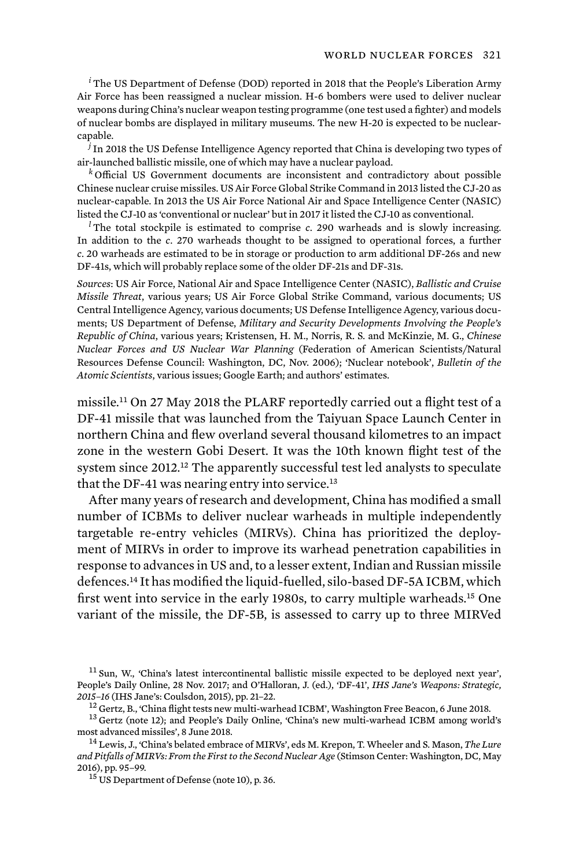*<sup>i</sup>* The US Department of Defense (DOD) reported in 2018 that the People's Liberation Army Air Force has been reassigned a nuclear mission. H-6 bombers were used to deliver nuclear weapons during China's nuclear weapon testing programme (one test used a fighter) and models of nuclear bombs are displayed in military museums. The new H-20 is expected to be nuclearcapable.

*<sup>j</sup>* In 2018 the US Defense Intelligence Agency reported that China is developing two types of air-launched ballistic missile, one of which may have a nuclear payload.

*<sup>k</sup>* Official US Government documents are inconsistent and contradictory about possible Chinese nuclear cruise missiles. US Air Force Global Strike Command in 2013 listed the CJ-20 as nuclear-capable. In 2013 the US Air Force National Air and Space Intelligence Center (NASIC) listed the CJ-10 as 'conventional or nuclear' but in 2017 it listed the CJ-10 as conventional.

<sup>*l*</sup>The total stockpile is estimated to comprise *c*. 290 warheads and is slowly increasing. In addition to the *c*. 270 warheads thought to be assigned to operational forces, a further *c*. 20 warheads are estimated to be in storage or production to arm additional DF-26s and new DF-41s, which will probably replace some of the older DF-21s and DF-31s.

*Sources*: US Air Force, National Air and Space Intelligence Center (NASIC), *Ballistic and Cruise Missile Threat*, various years; US Air Force Global Strike Command, various documents; US Central Intelligence Agency, various documents; US Defense Intelligence Agency, various documents; US Department of Defense, *Military and Security Developments Involving the People's Republic of China*, various years; Kristensen, H. M., Norris, R. S. and McKinzie, M. G., *Chinese Nuclear Forces and US Nuclear War Planning* (Federation of American Scientists/Natural Resources Defense Council: Washington, DC, Nov. 2006); 'Nuclear notebook', *Bulletin of the Atomic Scientists*, various issues; Google Earth; and authors' estimates.

missile.11 On 27 May 2018 the PLARF reportedly carried out a flight test of a DF-41 missile that was launched from the Taiyuan Space Launch Center in northern China and flew overland several thousand kilometres to an impact zone in the western Gobi Desert. It was the 10th known flight test of the system since 2012.<sup>12</sup> The apparently successful test led analysts to speculate that the DF-41 was nearing entry into service. 13

After many years of research and development, China has modified a small number of ICBMs to deliver nuclear warheads in multiple independently targetable re-entry vehicles (MIRVs). China has prioritized the deployment of MIRVs in order to improve its warhead penetration capabilities in response to advances in US and, to a lesser extent, Indian and Russian missile defences.14 It has modified the liquid-fuelled, silo-based DF-5A ICBM, which first went into service in the early 1980s, to carry multiple warheads.<sup>15</sup> One variant of the missile, the DF-5B, is assessed to carry up to three MIRVed

<sup>11</sup> Sun, W., 'China's latest intercontinental ballistic missile expected to be deployed next year', People's Daily Online, 28 Nov. 2017; and O'Halloran, J. (ed.), 'DF-41', *IHS Jane's Weapons: Strategic,* 

<sup>&</sup>lt;sup>12</sup> Gertz, B., 'China flight tests new multi-warhead ICBM', Washington Free Beacon, 6 June 2018.<br><sup>13</sup> Gertz (note 12); and People's Daily Online, 'China's new multi-warhead ICBM among world's most advanced missiles'. 8 J

<sup>&</sup>lt;sup>14</sup> Lewis, J., 'China's belated embrace of MIRVs', eds M. Krepon, T. Wheeler and S. Mason, *The Lure and Pitfalls of MIRVs: From the First to the Second Nuclear Age* (Stimson Center: Washington, DC, May 2016), pp. 95–99.<br><sup>15</sup> US Department of Defense (note 10), p. 36.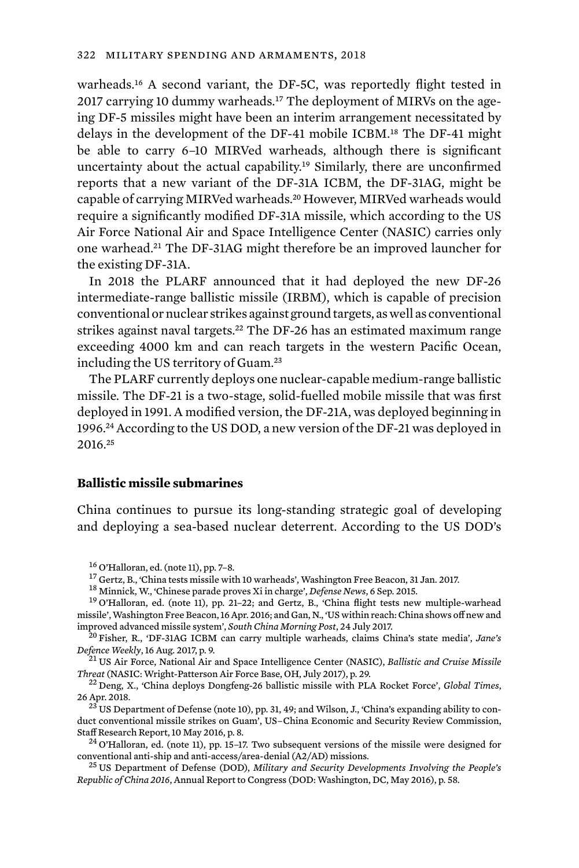warheads.16 A second variant, the DF-5C, was reportedly flight tested in 2017 carrying 10 dummy warheads.<sup>17</sup> The deployment of MIRVs on the ageing DF-5 missiles might have been an interim arrangement necessitated by delays in the development of the DF-41 mobile ICBM.18 The DF-41 might be able to carry 6–10 MIRVed warheads, although there is significant uncertainty about the actual capability.19 Similarly, there are unconfirmed reports that a new variant of the DF-31A ICBM, the DF-31AG, might be capable of carrying MIRVed warheads.20 However, MIRVed warheads would require a significantly modified DF-31A missile, which according to the US Air Force National Air and Space Intelligence Center (NASIC) carries only one warhead.21 The DF-31AG might therefore be an improved launcher for the existing DF-31A.

In 2018 the PLARF announced that it had deployed the new DF-26 intermediate-range ballistic missile (IRBM), which is capable of precision conventional or nuclear strikes against ground targets, as well as conventional strikes against naval targets.<sup>22</sup> The DF-26 has an estimated maximum range exceeding 4000 km and can reach targets in the western Pacific Ocean, including the US territory of Guam.<sup>23</sup>

The PLARF currently deploys one nuclear-capable medium-range ballistic missile. The DF-21 is a two-stage, solid-fuelled mobile missile that was first deployed in 1991. A modified version, the DF-21A, was deployed beginning in 1996.24 According to the US DOD, a new version of the DF-21 was deployed in 2016.<sup>25</sup>

#### **Ballistic missile submarines**

China continues to pursue its long-standing strategic goal of developing and deploying a sea-based nuclear deterrent. According to the US DOD's

<sup>16</sup> O'Halloran, ed. (note 11), pp. 7–8.<br><sup>17</sup> Gertz, B., 'China tests missile with 10 warheads', Washington Free Beacon, 31 Jan. 2017.<br><sup>18</sup> Minnick, W., 'Chinese parade proves Xi in charge', *Defense News*, 6 Sep. 2015.<br><sup></sup> missile', Washington Free Beacon, 16 Apr. 2016; and Gan, N., 'US within reach: China shows off new and<br>improved advanced missile system'. *South China Morning Post*. 24 July 2017.

<sup>20</sup> Fisher, R., 'DF-31AG ICBM can carry multiple warheads, claims China's state media', *Jane's Defence Weekly*, 16 Aug. 2017. p. 9.

*Defence Weekly*, 16 Aug. 2017, p. 9. <sup>21</sup> US Air Force, National Air and Space Intelligence Center (NASIC), *Ballistic and Cruise Missile Threat* (NASIC: Wright-Patterson Air Force Base, OH, July 2017), p. 29. <sup>22</sup> Deng, X., 'China deploys Dongfeng-26 ballistic missile with PLA Rocket Force', *Global Times*,

26 Apr. 2018.<br><sup>23</sup> US Department of Defense (note 10), pp. 31, 49; and Wilson, J., 'China's expanding ability to con-

duct conventional missile strikes on Guam', US–China Economic and Security Review Commission,<br>Staff Research Report, 10 May 2016, p. 8.

<sup>24</sup> O'Halloran, ed. (note 11), pp. 15–17. Two subsequent versions of the missile were designed for conventional anti-ship and anti-access/area-denial (A2/AD) missions.

<sup>25</sup> US Department of Defense (DOD), *Military and Security Developments Involving the People's Republic of China 2016*, Annual Report to Congress (DOD: Washington, DC, May 2016), p. 58.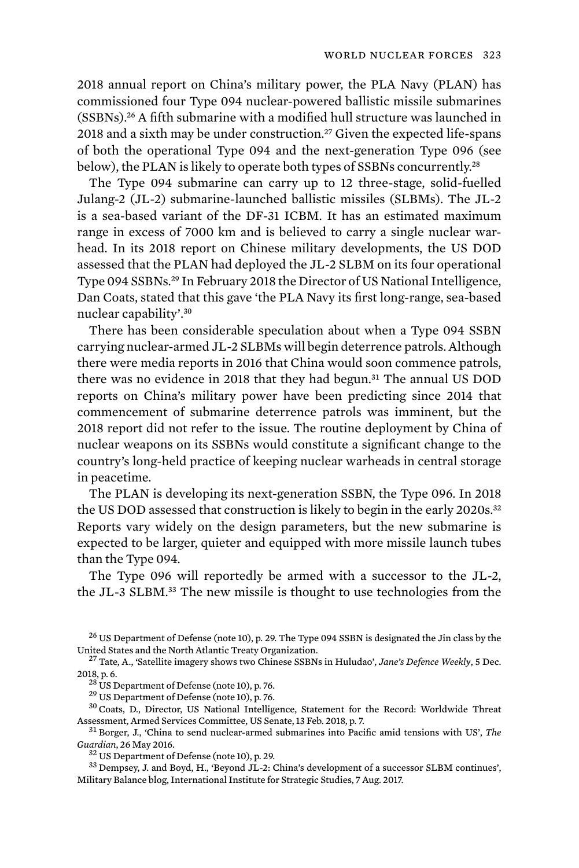2018 annual report on China's military power, the PLA Navy (PLAN) has commissioned four Type 094 nuclear-powered ballistic missile submarines (SSBNs).26 A fifth submarine with a modified hull structure was launched in 2018 and a sixth may be under construction.<sup>27</sup> Given the expected life-spans of both the operational Type 094 and the next-generation Type 096 (see below), the PLAN is likely to operate both types of SSBNs concurrently.<sup>28</sup>

The Type 094 submarine can carry up to 12 three-stage, solid-fuelled Julang-2 (JL-2) submarine-launched ballistic missiles (SLBMs). The JL-2 is a sea-based variant of the DF-31 ICBM. It has an estimated maximum range in excess of 7000 km and is believed to carry a single nuclear warhead. In its 2018 report on Chinese military developments, the US DOD assessed that the PLAN had deployed the JL-2 SLBM on its four operational Type 094 SSBNs.29 In February 2018 the Director of US National Intelligence, Dan Coats, stated that this gave 'the PLA Navy its first long-range, sea-based nuclear capability'.<sup>30</sup>

There has been considerable speculation about when a Type 094 SSBN carrying nuclear-armed JL-2 SLBMs will begin deterrence patrols. Although there were media reports in 2016 that China would soon commence patrols, there was no evidence in 2018 that they had begun.31 The annual US DOD reports on China's military power have been predicting since 2014 that commencement of submarine deterrence patrols was imminent, but the 2018 report did not refer to the issue. The routine deployment by China of nuclear weapons on its SSBNs would constitute a significant change to the country's long-held practice of keeping nuclear warheads in central storage in peacetime.

The PLAN is developing its next-generation SSBN, the Type 096. In 2018 the US DOD assessed that construction is likely to begin in the early 2020s.<sup>32</sup> Reports vary widely on the design parameters, but the new submarine is expected to be larger, quieter and equipped with more missile launch tubes than the Type 094.

The Type 096 will reportedly be armed with a successor to the JL-2, the JL-3 SLBM.33 The new missile is thought to use technologies from the

Assessment, Armed Services Committee, US Senate, 13 Feb. 2018, p. 7.<br><sup>31</sup> Borger, J., 'China to send nuclear-armed submarines into Pacific amid tensions with US', *The Guardian*, 26 May 2016.

 $^{26}$  US Department of Defense (note 10), p. 29. The Type 094 SSBN is designated the Jin class by the United States and the North Atlantic Treaty Organization.

<sup>&</sup>lt;sup>27</sup> Tate, A., 'Satellite imagery shows two Chinese SSBNs in Huludao', *Jane's Defence Weekly*, 5 Dec. 2018, p. 6.  $^{28}$  US Department of Defense (note 10), p. 76.  $^{28}$  US Department of Defense (note 10), p. 76.  $^{29}$  US Department of Defense (note 10), p. 76.  $^{30}$  Coats, D., Director, US National Intelligence, State

<sup>&</sup>lt;sup>32</sup> US Department of Defense (note 10), p. 29.<br><sup>33</sup> Dempsey, J. and Boyd, H., 'Beyond JL-2: China's development of a successor SLBM continues', Military Balance blog, International Institute for Strategic Studies, 7 Aug. 2017.